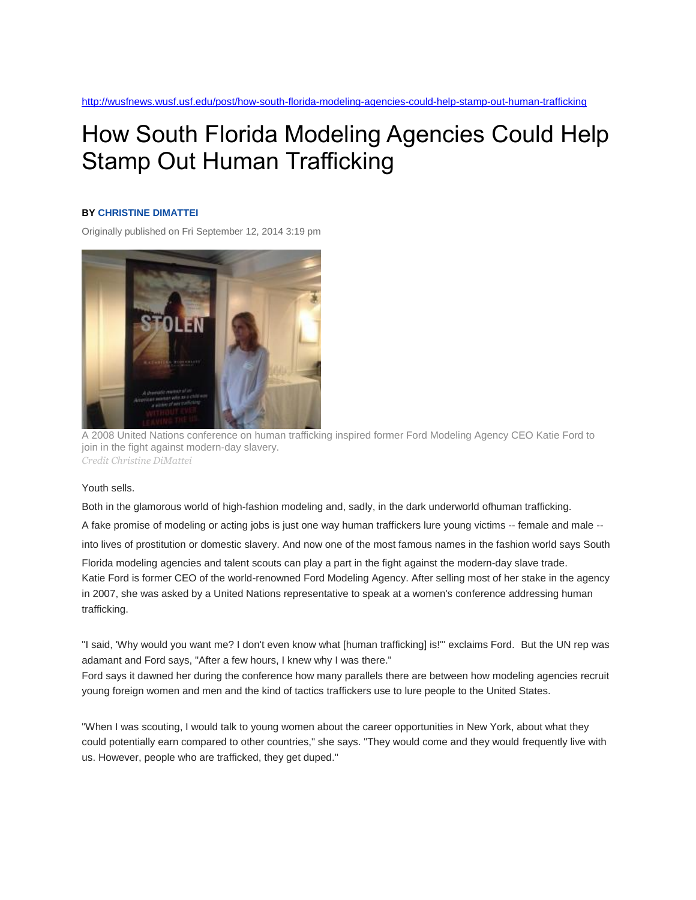## How South Florida Modeling Agencies Could Help Stamp Out Human Trafficking

## **BY [CHRISTINE](http://wusfnews.wusf.usf.edu/people/christine-dimattei) DIMATTEI**

Originally published on Fri September 12, 2014 3:19 pm



A 2008 United Nations conference on human trafficking inspired former Ford Modeling Agency CEO Katie Ford to join in the fight against modern-day slavery. *Credit Christine DiMattei*

Youth sells.

Both in the glamorous world of high-fashion modeling and, sadly, in the dark underworld ofhuman trafficking. A fake promise of modeling or acting jobs is just one way human traffickers lure young victims -- female and male - into lives of prostitution or domestic slavery. And now one of the most famous names in the fashion world says South Florida modeling agencies and talent scouts can play a part in the fight against the modern-day slave trade. Katie Ford is former CEO of the world-renowned Ford Modeling Agency. After selling most of her stake in the agency in 2007, she was asked by a United Nations representative to speak at a women's conference addressing human trafficking.

"I said, 'Why would you want me? I don't even know what [human trafficking] is!'" exclaims Ford. But the UN rep was adamant and Ford says, "After a few hours, I knew why I was there."

Ford says it dawned her during the conference how many parallels there are between how modeling agencies recruit young foreign women and men and the kind of tactics traffickers use to lure people to the United States.

"When I was scouting, I would talk to young women about the career opportunities in New York, about what they could potentially earn compared to other countries," she says. "They would come and they would frequently live with us. However, people who are trafficked, they get duped."